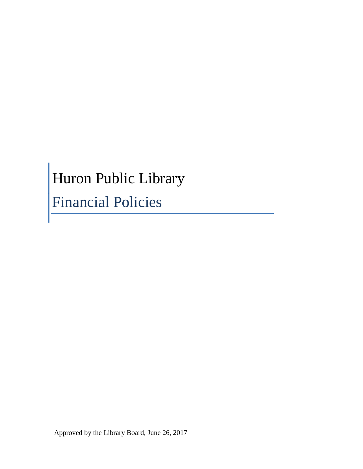# Huron Public Library

Financial Policies

Approved by the Library Board, June 26, 2017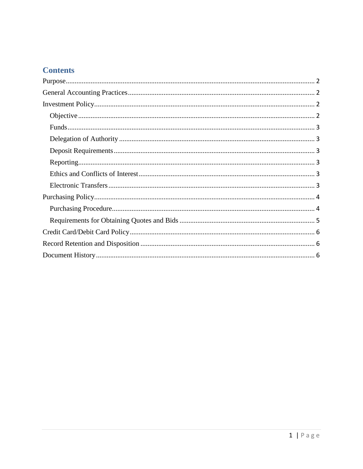# **Contents**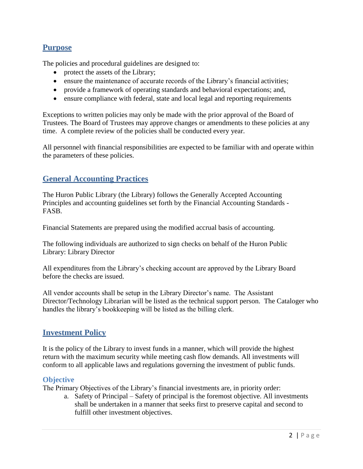## **Purpose**

The policies and procedural guidelines are designed to:

- protect the assets of the Library;
- ensure the maintenance of accurate records of the Library's financial activities;
- provide a framework of operating standards and behavioral expectations; and,
- ensure compliance with federal, state and local legal and reporting requirements

Exceptions to written policies may only be made with the prior approval of the Board of Trustees. The Board of Trustees may approve changes or amendments to these policies at any time. A complete review of the policies shall be conducted every year.

All personnel with financial responsibilities are expected to be familiar with and operate within the parameters of these policies.

## **General Accounting Practices**

The Huron Public Library (the Library) follows the Generally Accepted Accounting Principles and accounting guidelines set forth by the Financial Accounting Standards - FASB.

Financial Statements are prepared using the modified accrual basis of accounting.

The following individuals are authorized to sign checks on behalf of the Huron Public Library: Library Director

All expenditures from the Library's checking account are approved by the Library Board before the checks are issued.

All vendor accounts shall be setup in the Library Director's name. The Assistant Director/Technology Librarian will be listed as the technical support person. The Cataloger who handles the library's bookkeeping will be listed as the billing clerk.

#### **Investment Policy**

It is the policy of the Library to invest funds in a manner, which will provide the highest return with the maximum security while meeting cash flow demands. All investments will conform to all applicable laws and regulations governing the investment of public funds.

#### **Objective**

The Primary Objectives of the Library's financial investments are, in priority order:

a. Safety of Principal – Safety of principal is the foremost objective. All investments shall be undertaken in a manner that seeks first to preserve capital and second to fulfill other investment objectives.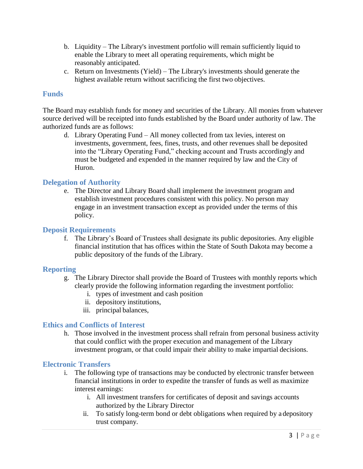- b. Liquidity The Library's investment portfolio will remain sufficiently liquid to enable the Library to meet all operating requirements, which might be reasonably anticipated.
- c. Return on Investments (Yield) The Library's investments should generate the highest available return without sacrificing the first two objectives.

#### **Funds**

The Board may establish funds for money and securities of the Library. All monies from whatever source derived will be receipted into funds established by the Board under authority of law. The authorized funds are as follows:

d. Library Operating Fund – All money collected from tax levies, interest on investments, government, fees, fines, trusts, and other revenues shall be deposited into the "Library Operating Fund," checking account and Trusts accordingly and must be budgeted and expended in the manner required by law and the City of Huron.

#### **Delegation of Authority**

e. The Director and Library Board shall implement the investment program and establish investment procedures consistent with this policy. No person may engage in an investment transaction except as provided under the terms of this policy.

#### **Deposit Requirements**

f. The Library's Board of Trustees shall designate its public depositories. Any eligible financial institution that has offices within the State of South Dakota may become a public depository of the funds of the Library.

#### **Reporting**

- g. The Library Director shall provide the Board of Trustees with monthly reports which clearly provide the following information regarding the investment portfolio:
	- i. types of investment and cash position
	- ii. depository institutions,
	- iii. principal balances,

#### **Ethics and Conflicts of Interest**

h. Those involved in the investment process shall refrain from personal business activity that could conflict with the proper execution and management of the Library investment program, or that could impair their ability to make impartial decisions.

#### **Electronic Transfers**

- i. The following type of transactions may be conducted by electronic transfer between financial institutions in order to expedite the transfer of funds as well as maximize interest earnings:
	- i. All investment transfers for certificates of deposit and savings accounts authorized by the Library Director
	- ii. To satisfy long-term bond or debt obligations when required by a depository trust company.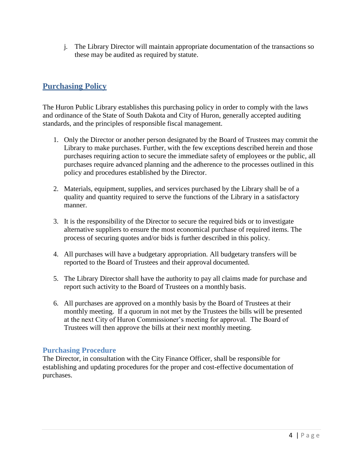j. The Library Director will maintain appropriate documentation of the transactions so these may be audited as required by statute.

## **Purchasing Policy**

The Huron Public Library establishes this purchasing policy in order to comply with the laws and ordinance of the State of South Dakota and City of Huron, generally accepted auditing standards, and the principles of responsible fiscal management.

- 1. Only the Director or another person designated by the Board of Trustees may commit the Library to make purchases. Further, with the few exceptions described herein and those purchases requiring action to secure the immediate safety of employees or the public, all purchases require advanced planning and the adherence to the processes outlined in this policy and procedures established by the Director.
- 2. Materials, equipment, supplies, and services purchased by the Library shall be of a quality and quantity required to serve the functions of the Library in a satisfactory manner.
- 3. It is the responsibility of the Director to secure the required bids or to investigate alternative suppliers to ensure the most economical purchase of required items. The process of securing quotes and/or bids is further described in this policy.
- 4. All purchases will have a budgetary appropriation. All budgetary transfers will be reported to the Board of Trustees and their approval documented.
- 5. The Library Director shall have the authority to pay all claims made for purchase and report such activity to the Board of Trustees on a monthly basis.
- 6. All purchases are approved on a monthly basis by the Board of Trustees at their monthly meeting. If a quorum in not met by the Trustees the bills will be presented at the next City of Huron Commissioner's meeting for approval. The Board of Trustees will then approve the bills at their next monthly meeting.

#### **Purchasing Procedure**

The Director, in consultation with the City Finance Officer, shall be responsible for establishing and updating procedures for the proper and cost-effective documentation of purchases.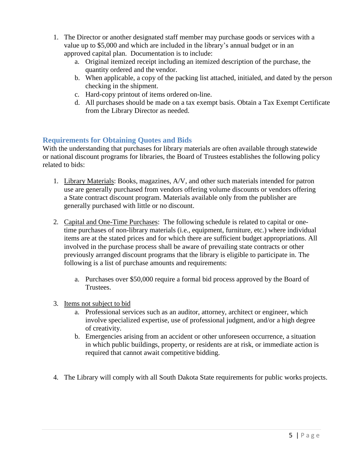- 1. The Director or another designated staff member may purchase goods or services with a value up to \$5,000 and which are included in the library's annual budget or in an approved capital plan. Documentation is to include:
	- a. Original itemized receipt including an itemized description of the purchase, the quantity ordered and the vendor.
	- b. When applicable, a copy of the packing list attached, initialed, and dated by the person checking in the shipment.
	- c. Hard-copy printout of items ordered on-line.
	- d. All purchases should be made on a tax exempt basis. Obtain a Tax Exempt Certificate from the Library Director as needed.

#### **Requirements for Obtaining Quotes and Bids**

With the understanding that purchases for library materials are often available through statewide or national discount programs for libraries, the Board of Trustees establishes the following policy related to bids:

- 1. Library Materials: Books, magazines, A/V, and other such materials intended for patron use are generally purchased from vendors offering volume discounts or vendors offering a State contract discount program. Materials available only from the publisher are generally purchased with little or no discount.
- 2. Capital and One-Time Purchases: The following schedule is related to capital or onetime purchases of non-library materials (i.e., equipment, furniture, etc.) where individual items are at the stated prices and for which there are sufficient budget appropriations. All involved in the purchase process shall be aware of prevailing state contracts or other previously arranged discount programs that the library is eligible to participate in. The following is a list of purchase amounts and requirements:
	- a. Purchases over \$50,000 require a formal bid process approved by the Board of Trustees.
- 3. Items not subject to bid
	- a. Professional services such as an auditor, attorney, architect or engineer, which involve specialized expertise, use of professional judgment, and/or a high degree of creativity.
	- b. Emergencies arising from an accident or other unforeseen occurrence, a situation in which public buildings, property, or residents are at risk, or immediate action is required that cannot await competitive bidding.
- 4. The Library will comply with all South Dakota State requirements for public works projects.